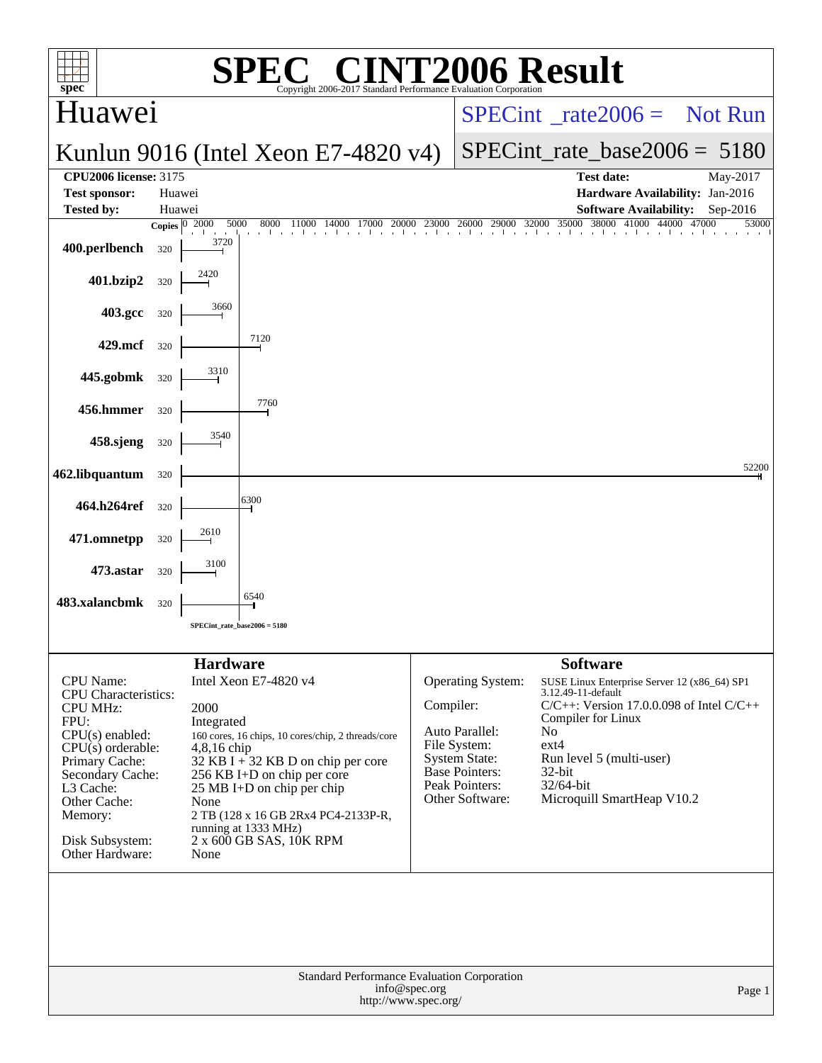| $spec^*$                                                                                                                                                                                                                                   |              |                                                                                                                                                                                                                                                                                                                                                    | $\left( \mathbb{R}\right)$<br>Copyright 2006-2017 Standard Performance Evaluation Corporation                                                                                                                                                                                                                                                                                                                                                                                             |  |                                                                                                                                                        | 06 Result                                                                                                                                                                                                                                                    |          |  |  |  |
|--------------------------------------------------------------------------------------------------------------------------------------------------------------------------------------------------------------------------------------------|--------------|----------------------------------------------------------------------------------------------------------------------------------------------------------------------------------------------------------------------------------------------------------------------------------------------------------------------------------------------------|-------------------------------------------------------------------------------------------------------------------------------------------------------------------------------------------------------------------------------------------------------------------------------------------------------------------------------------------------------------------------------------------------------------------------------------------------------------------------------------------|--|--------------------------------------------------------------------------------------------------------------------------------------------------------|--------------------------------------------------------------------------------------------------------------------------------------------------------------------------------------------------------------------------------------------------------------|----------|--|--|--|
| Huawei                                                                                                                                                                                                                                     |              |                                                                                                                                                                                                                                                                                                                                                    |                                                                                                                                                                                                                                                                                                                                                                                                                                                                                           |  | $SPECint^{\circ}$ <sub>rate</sub> 2006 = Not Run                                                                                                       |                                                                                                                                                                                                                                                              |          |  |  |  |
|                                                                                                                                                                                                                                            |              |                                                                                                                                                                                                                                                                                                                                                    | Kunlun 9016 (Intel Xeon E7-4820 $v4$ )                                                                                                                                                                                                                                                                                                                                                                                                                                                    |  |                                                                                                                                                        | $SPECint_rate_base2006 = 5180$                                                                                                                                                                                                                               |          |  |  |  |
| <b>CPU2006 license: 3175</b><br><b>Test sponsor:</b>                                                                                                                                                                                       | Huawei       |                                                                                                                                                                                                                                                                                                                                                    |                                                                                                                                                                                                                                                                                                                                                                                                                                                                                           |  |                                                                                                                                                        | <b>Test date:</b><br>Hardware Availability: Jan-2016                                                                                                                                                                                                         | May-2017 |  |  |  |
| <b>Tested by:</b>                                                                                                                                                                                                                          | Huawei       |                                                                                                                                                                                                                                                                                                                                                    |                                                                                                                                                                                                                                                                                                                                                                                                                                                                                           |  |                                                                                                                                                        | <b>Software Availability:</b>                                                                                                                                                                                                                                | Sep-2016 |  |  |  |
|                                                                                                                                                                                                                                            | Copies $ 0 $ | 2000<br>5000<br><b>Line of the Company</b><br>3720                                                                                                                                                                                                                                                                                                 | $\text{0} \quad \text{0} \quad \text{0} \quad \text{0} \quad \text{1} \quad \text{1} \quad \text{0} \quad \text{1} \quad \text{0} \quad \text{1} \quad \text{0} \quad \text{1} \quad \text{0} \quad \text{0} \quad \text{1} \quad \text{0} \quad \text{0} \quad \text{0} \quad \text{0} \quad \text{0} \quad \text{0} \quad \text{0} \quad \text{0} \quad \text{0} \quad \text{0} \quad \text{0} \quad \text{0} \quad \text{0} \quad \text{0} \quad \text{0} \quad \text{0} \quad \text{$ |  |                                                                                                                                                        |                                                                                                                                                                                                                                                              | 53000    |  |  |  |
| 400.perlbench                                                                                                                                                                                                                              | 320          |                                                                                                                                                                                                                                                                                                                                                    |                                                                                                                                                                                                                                                                                                                                                                                                                                                                                           |  |                                                                                                                                                        |                                                                                                                                                                                                                                                              |          |  |  |  |
| 401.bzip2                                                                                                                                                                                                                                  | 320          |                                                                                                                                                                                                                                                                                                                                                    |                                                                                                                                                                                                                                                                                                                                                                                                                                                                                           |  |                                                                                                                                                        |                                                                                                                                                                                                                                                              |          |  |  |  |
| 403.gcc                                                                                                                                                                                                                                    | 320          |                                                                                                                                                                                                                                                                                                                                                    |                                                                                                                                                                                                                                                                                                                                                                                                                                                                                           |  |                                                                                                                                                        |                                                                                                                                                                                                                                                              |          |  |  |  |
| 429.mcf                                                                                                                                                                                                                                    | 320          |                                                                                                                                                                                                                                                                                                                                                    | 7120                                                                                                                                                                                                                                                                                                                                                                                                                                                                                      |  |                                                                                                                                                        |                                                                                                                                                                                                                                                              |          |  |  |  |
| 445.gobmk                                                                                                                                                                                                                                  | 320          | 3310                                                                                                                                                                                                                                                                                                                                               |                                                                                                                                                                                                                                                                                                                                                                                                                                                                                           |  |                                                                                                                                                        |                                                                                                                                                                                                                                                              |          |  |  |  |
| 456.hmmer                                                                                                                                                                                                                                  | 320          |                                                                                                                                                                                                                                                                                                                                                    | 7760                                                                                                                                                                                                                                                                                                                                                                                                                                                                                      |  |                                                                                                                                                        |                                                                                                                                                                                                                                                              |          |  |  |  |
| 458.sjeng                                                                                                                                                                                                                                  | 320          | 3540                                                                                                                                                                                                                                                                                                                                               |                                                                                                                                                                                                                                                                                                                                                                                                                                                                                           |  |                                                                                                                                                        |                                                                                                                                                                                                                                                              |          |  |  |  |
|                                                                                                                                                                                                                                            |              |                                                                                                                                                                                                                                                                                                                                                    |                                                                                                                                                                                                                                                                                                                                                                                                                                                                                           |  |                                                                                                                                                        |                                                                                                                                                                                                                                                              | 52200    |  |  |  |
| 462.libquantum                                                                                                                                                                                                                             | 320          |                                                                                                                                                                                                                                                                                                                                                    | 6300                                                                                                                                                                                                                                                                                                                                                                                                                                                                                      |  |                                                                                                                                                        |                                                                                                                                                                                                                                                              |          |  |  |  |
| 464.h264ref                                                                                                                                                                                                                                | 320          |                                                                                                                                                                                                                                                                                                                                                    |                                                                                                                                                                                                                                                                                                                                                                                                                                                                                           |  |                                                                                                                                                        |                                                                                                                                                                                                                                                              |          |  |  |  |
| 471.omnetpp                                                                                                                                                                                                                                | 320          | 2610                                                                                                                                                                                                                                                                                                                                               |                                                                                                                                                                                                                                                                                                                                                                                                                                                                                           |  |                                                                                                                                                        |                                                                                                                                                                                                                                                              |          |  |  |  |
| 473.astar                                                                                                                                                                                                                                  | 320          |                                                                                                                                                                                                                                                                                                                                                    |                                                                                                                                                                                                                                                                                                                                                                                                                                                                                           |  |                                                                                                                                                        |                                                                                                                                                                                                                                                              |          |  |  |  |
| 483.xalancbmk                                                                                                                                                                                                                              | 320          |                                                                                                                                                                                                                                                                                                                                                    | 6540                                                                                                                                                                                                                                                                                                                                                                                                                                                                                      |  |                                                                                                                                                        |                                                                                                                                                                                                                                                              |          |  |  |  |
|                                                                                                                                                                                                                                            |              |                                                                                                                                                                                                                                                                                                                                                    | SPECint rate base $2006 = 5180$                                                                                                                                                                                                                                                                                                                                                                                                                                                           |  |                                                                                                                                                        |                                                                                                                                                                                                                                                              |          |  |  |  |
| <b>CPU</b> Name:<br><b>CPU</b> Characteristics:<br><b>CPU MHz:</b><br>FPU:<br>$CPU(s)$ enabled:<br>$CPU(s)$ orderable:<br>Primary Cache:<br>Secondary Cache:<br>L3 Cache:<br>Other Cache:<br>Memory:<br>Disk Subsystem:<br>Other Hardware: |              | <b>Hardware</b><br>Intel Xeon E7-4820 v4<br>2000<br>Integrated<br>160 cores, 16 chips, 10 cores/chip, 2 threads/core<br>4,8,16 chip<br>$32$ KB I + 32 KB D on chip per core<br>256 KB I+D on chip per core<br>25 MB I+D on chip per chip<br>None<br>2 TB (128 x 16 GB 2Rx4 PC4-2133P-R,<br>running at 1333 MHz)<br>2 x 600 GB SAS, 10K RPM<br>None |                                                                                                                                                                                                                                                                                                                                                                                                                                                                                           |  | Operating System:<br>Compiler:<br>Auto Parallel:<br>File System:<br><b>System State:</b><br><b>Base Pointers:</b><br>Peak Pointers:<br>Other Software: | <b>Software</b><br>SUSE Linux Enterprise Server 12 (x86_64) SP1<br>3.12.49-11-default<br>$C/C++$ : Version 17.0.0.098 of Intel $C/C++$<br>Compiler for Linux<br>No.<br>ext4<br>Run level 5 (multi-user)<br>32-bit<br>32/64-bit<br>Microquill SmartHeap V10.2 |          |  |  |  |
|                                                                                                                                                                                                                                            |              |                                                                                                                                                                                                                                                                                                                                                    | Standard Performance Evaluation Corporation<br>info@spec.org<br>http://www.spec.org/                                                                                                                                                                                                                                                                                                                                                                                                      |  |                                                                                                                                                        |                                                                                                                                                                                                                                                              | Page 1   |  |  |  |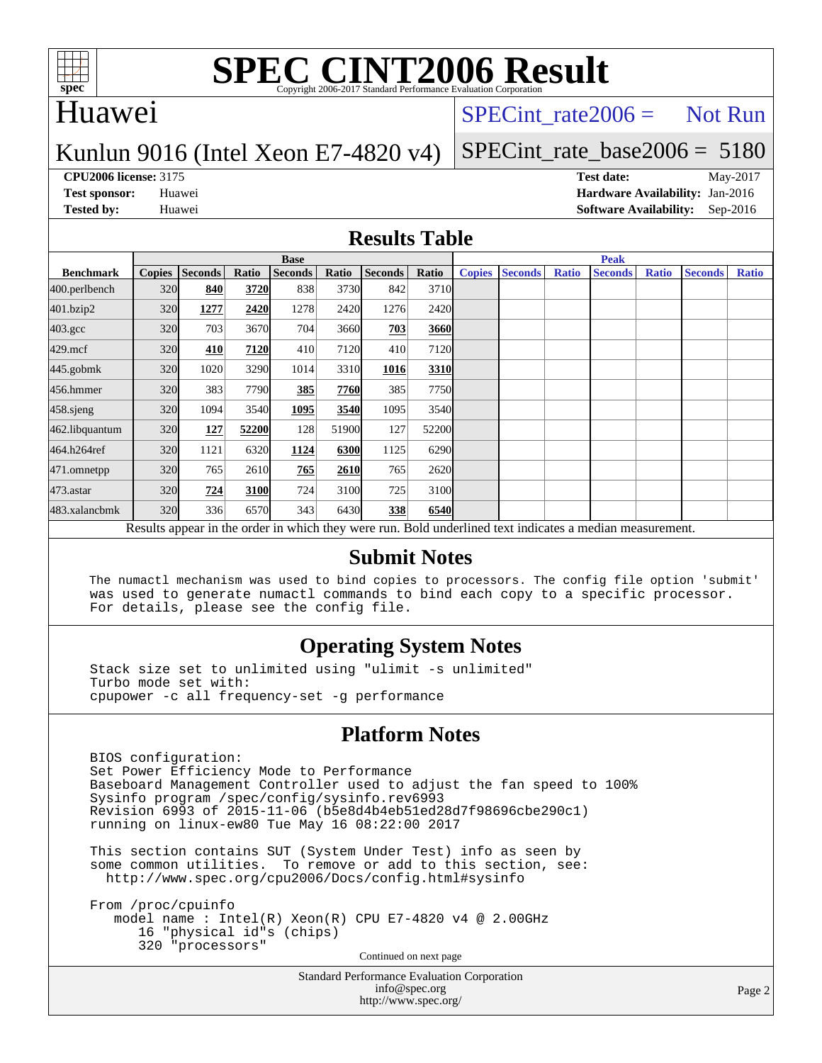

## Huawei

### $SPECTnt_rate2006 = Not Run$

### Kunlun 9016 (Intel Xeon E7-4820 v4)

# [SPECint\\_rate\\_base2006 =](http://www.spec.org/auto/cpu2006/Docs/result-fields.html#SPECintratebase2006) 5180

**[CPU2006 license:](http://www.spec.org/auto/cpu2006/Docs/result-fields.html#CPU2006license)** 3175 **[Test date:](http://www.spec.org/auto/cpu2006/Docs/result-fields.html#Testdate)** May-2017 **[Test sponsor:](http://www.spec.org/auto/cpu2006/Docs/result-fields.html#Testsponsor)** Huawei **[Hardware Availability:](http://www.spec.org/auto/cpu2006/Docs/result-fields.html#HardwareAvailability)** Jan-2016 **[Tested by:](http://www.spec.org/auto/cpu2006/Docs/result-fields.html#Testedby)** Huawei **[Software Availability:](http://www.spec.org/auto/cpu2006/Docs/result-fields.html#SoftwareAvailability)** Sep-2016

### **[Results Table](http://www.spec.org/auto/cpu2006/Docs/result-fields.html#ResultsTable)**

|                                                                                                          | <b>Base</b> |                |       |                |             |         |             | <b>Peak</b>   |                |              |                |              |                |              |
|----------------------------------------------------------------------------------------------------------|-------------|----------------|-------|----------------|-------------|---------|-------------|---------------|----------------|--------------|----------------|--------------|----------------|--------------|
| <b>Benchmark</b>                                                                                         |             | Copies Seconds | Ratio | <b>Seconds</b> | Ratio       | Seconds | Ratio       | <b>Copies</b> | <b>Seconds</b> | <b>Ratio</b> | <b>Seconds</b> | <b>Ratio</b> | <b>Seconds</b> | <b>Ratio</b> |
| 400.perlbench                                                                                            | 320         | 840            | 3720  | 838            | 3730        | 842     | 3710        |               |                |              |                |              |                |              |
| 401.bzip2                                                                                                | 320         | 1277           | 2420  | 1278           | 2420        | 1276    | 2420        |               |                |              |                |              |                |              |
| $403.\text{gcc}$                                                                                         | 320         | 703            | 3670  | 704            | 3660        | 703     | 3660        |               |                |              |                |              |                |              |
| $429$ .mcf                                                                                               | 320         | 410            | 7120  | 410            | 7120        | 410     | 7120        |               |                |              |                |              |                |              |
| $445$ .gobm $k$                                                                                          | 320         | 1020           | 3290  | 1014           | 3310        | 1016    | 3310        |               |                |              |                |              |                |              |
| 456.hmmer                                                                                                | 320         | 383            | 7790  | 385            | 7760        | 385     | 7750        |               |                |              |                |              |                |              |
| $458$ .sjeng                                                                                             | 320         | 1094           | 3540  | 1095           | <b>3540</b> | 1095    | 3540        |               |                |              |                |              |                |              |
| 462.libquantum                                                                                           | 320         | 127            | 52200 | 128            | 51900       | 127     | 52200       |               |                |              |                |              |                |              |
| 464.h264ref                                                                                              | 320         | 1121           | 6320  | 1124           | 6300        | 1125    | 6290        |               |                |              |                |              |                |              |
| 471.omnetpp                                                                                              | 320         | 765            | 2610  | 765            | 2610        | 765     | 2620        |               |                |              |                |              |                |              |
| 473.astar                                                                                                | 320         | 724            | 3100  | 724            | 3100        | 725     | 3100        |               |                |              |                |              |                |              |
| 483.xalancbmk                                                                                            | 320         | 336            | 6570  | 343            | 6430        | 338     | <b>6540</b> |               |                |              |                |              |                |              |
| Results appear in the order in which they were run. Bold underlined text indicates a median measurement. |             |                |       |                |             |         |             |               |                |              |                |              |                |              |

### **[Submit Notes](http://www.spec.org/auto/cpu2006/Docs/result-fields.html#SubmitNotes)**

 The numactl mechanism was used to bind copies to processors. The config file option 'submit' was used to generate numactl commands to bind each copy to a specific processor. For details, please see the config file.

### **[Operating System Notes](http://www.spec.org/auto/cpu2006/Docs/result-fields.html#OperatingSystemNotes)**

 Stack size set to unlimited using "ulimit -s unlimited" Turbo mode set with: cpupower -c all frequency-set -g performance

### **[Platform Notes](http://www.spec.org/auto/cpu2006/Docs/result-fields.html#PlatformNotes)**

 BIOS configuration: Set Power Efficiency Mode to Performance Baseboard Management Controller used to adjust the fan speed to 100% Sysinfo program /spec/config/sysinfo.rev6993 Revision 6993 of 2015-11-06 (b5e8d4b4eb51ed28d7f98696cbe290c1) running on linux-ew80 Tue May 16 08:22:00 2017

 This section contains SUT (System Under Test) info as seen by some common utilities. To remove or add to this section, see: <http://www.spec.org/cpu2006/Docs/config.html#sysinfo>

 From /proc/cpuinfo model name : Intel(R) Xeon(R) CPU E7-4820 v4 @ 2.00GHz 16 "physical id"s (chips) 320 "processors" Continued on next page

> Standard Performance Evaluation Corporation [info@spec.org](mailto:info@spec.org) <http://www.spec.org/>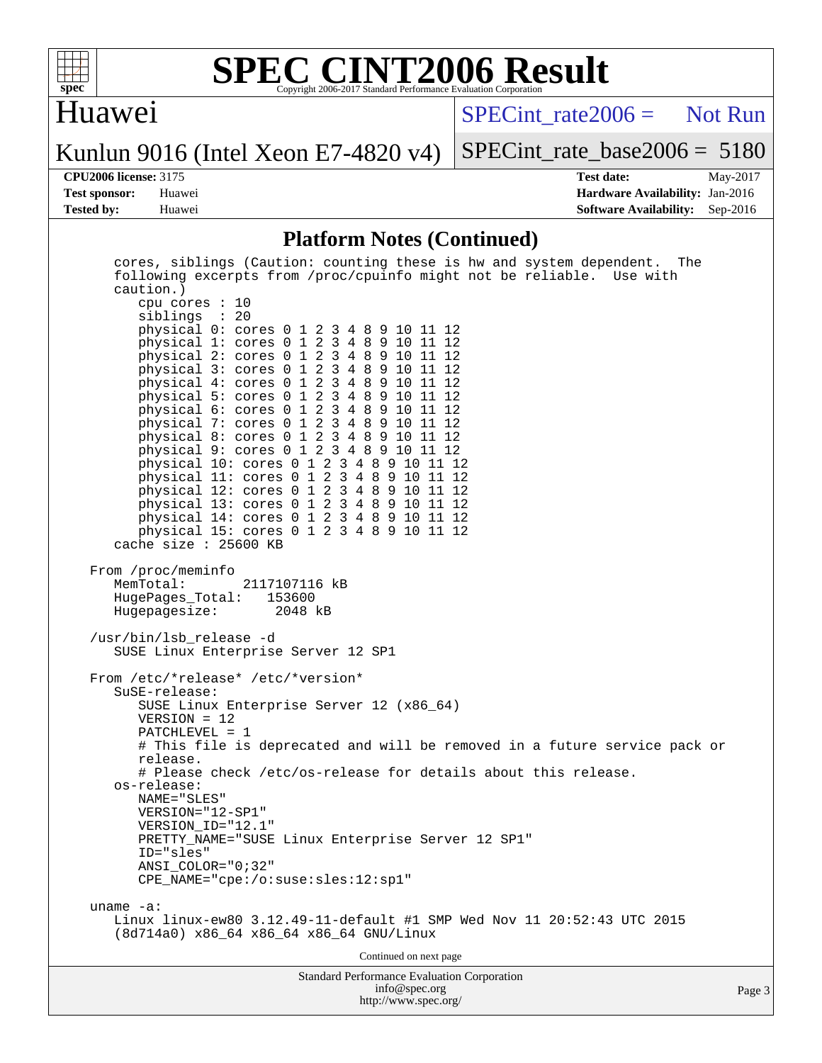

# Huawei

[SPECint\\_rate2006 =](http://www.spec.org/auto/cpu2006/Docs/result-fields.html#SPECintrate2006) Not Run

Kunlun 9016 (Intel Xeon E7-4820 v4)

[SPECint\\_rate\\_base2006 =](http://www.spec.org/auto/cpu2006/Docs/result-fields.html#SPECintratebase2006) 5180

**[CPU2006 license:](http://www.spec.org/auto/cpu2006/Docs/result-fields.html#CPU2006license)** 3175 **[Test date:](http://www.spec.org/auto/cpu2006/Docs/result-fields.html#Testdate)** May-2017 **[Test sponsor:](http://www.spec.org/auto/cpu2006/Docs/result-fields.html#Testsponsor)** Huawei **[Hardware Availability:](http://www.spec.org/auto/cpu2006/Docs/result-fields.html#HardwareAvailability)** Jan-2016 **[Tested by:](http://www.spec.org/auto/cpu2006/Docs/result-fields.html#Testedby)** Huawei **[Software Availability:](http://www.spec.org/auto/cpu2006/Docs/result-fields.html#SoftwareAvailability)** Sep-2016

### **[Platform Notes \(Continued\)](http://www.spec.org/auto/cpu2006/Docs/result-fields.html#PlatformNotes)**

| physical 4: cores 0 1 2 3 4 8 9 10 11 12<br>physical 5: cores 0 1 2 3 4 8 9 10 11 12<br>physical 6: cores 0 1 2 3 4 8 9 10 11 12<br>physical 7: cores 0 1 2 3 4 8 9 10 11 12<br>physical 8: cores 0 1 2 3 4 8 9 10 11 12     |        |
|------------------------------------------------------------------------------------------------------------------------------------------------------------------------------------------------------------------------------|--------|
| physical 9: cores 0 1 2 3 4 8 9 10 11 12<br>physical 10: cores 0 1 2 3 4 8 9 10 11 12<br>physical 11: cores 0 1 2 3 4 8 9 10 11 12<br>physical 12: cores 0 1 2 3 4 8 9 10 11 12<br>physical 13: cores 0 1 2 3 4 8 9 10 11 12 |        |
| physical 14: cores 0 1 2 3 4 8 9 10 11 12<br>physical 15: cores 0 1 2 3 4 8 9 10 11 12<br>cache size $: 25600$ KB                                                                                                            |        |
| From /proc/meminfo<br>MemTotal:<br>2117107116 kB<br>HugePages Total: 153600<br>Hugepagesize: 2048 kB                                                                                                                         |        |
| /usr/bin/lsb release -d<br>SUSE Linux Enterprise Server 12 SP1                                                                                                                                                               |        |
| From /etc/*release* /etc/*version*<br>SuSE-release:<br>SUSE Linux Enterprise Server 12 (x86_64)<br>$VERSION = 12$                                                                                                            |        |
| $PATCHLEVEL = 1$<br># This file is deprecated and will be removed in a future service pack or<br>release.                                                                                                                    |        |
| # Please check /etc/os-release for details about this release.<br>os-release:<br>NAME="SLES"<br>VERSION="12-SP1"<br>VERSION ID="12.1"                                                                                        |        |
| PRETTY_NAME="SUSE Linux Enterprise Server 12 SP1"<br>ID="sles"<br>$ANSI$ _COLOR=" $0:32$ "                                                                                                                                   |        |
| CPE_NAME="cpe:/o:suse:sles:12:sp1"                                                                                                                                                                                           |        |
| uname $-a$ :<br>Linux linux-ew80 3.12.49-11-default #1 SMP Wed Nov 11 20:52:43 UTC 2015<br>(8d714a0) x86_64 x86_64 x86_64 GNU/Linux                                                                                          |        |
| Continued on next page                                                                                                                                                                                                       |        |
| <b>Standard Performance Evaluation Corporation</b><br>info@spec.org                                                                                                                                                          | Page 3 |

<http://www.spec.org/>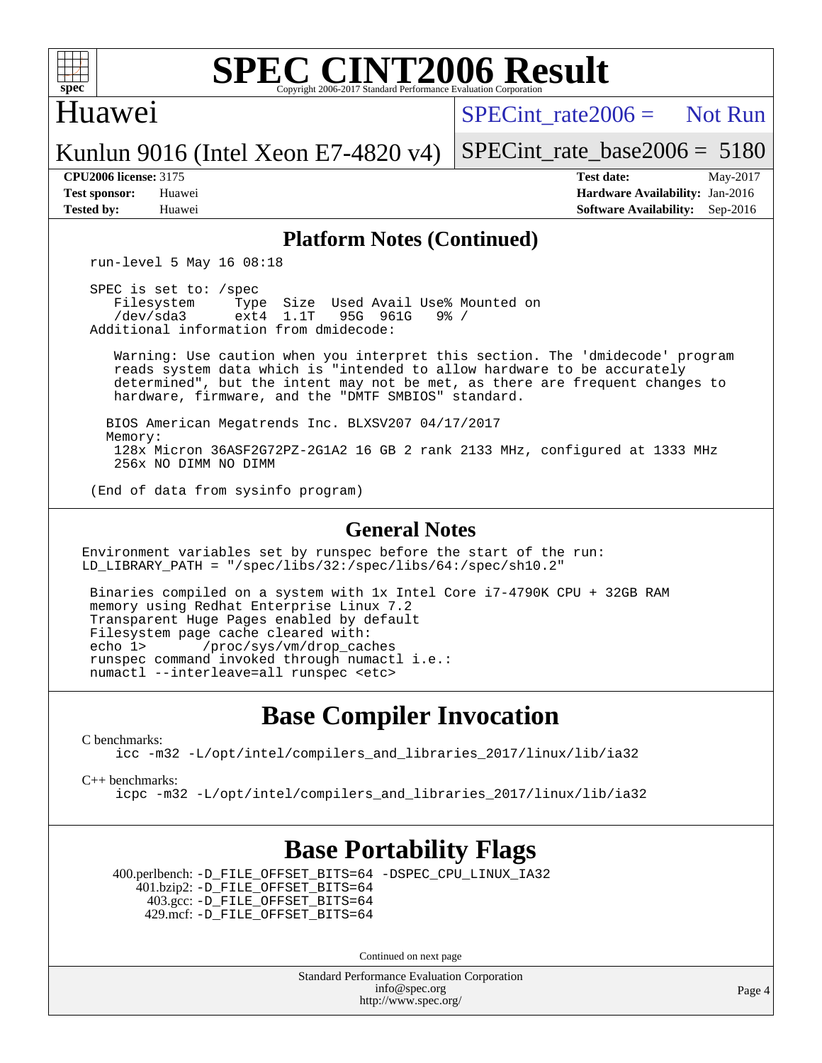

### Huawei

 $SPECint rate2006 =$  Not Run

Kunlun 9016 (Intel Xeon E7-4820 v4)

[SPECint\\_rate\\_base2006 =](http://www.spec.org/auto/cpu2006/Docs/result-fields.html#SPECintratebase2006) 5180

**[CPU2006 license:](http://www.spec.org/auto/cpu2006/Docs/result-fields.html#CPU2006license)** 3175 **[Test date:](http://www.spec.org/auto/cpu2006/Docs/result-fields.html#Testdate)** May-2017 **[Test sponsor:](http://www.spec.org/auto/cpu2006/Docs/result-fields.html#Testsponsor)** Huawei **[Hardware Availability:](http://www.spec.org/auto/cpu2006/Docs/result-fields.html#HardwareAvailability)** Jan-2016 **[Tested by:](http://www.spec.org/auto/cpu2006/Docs/result-fields.html#Testedby)** Huawei **[Software Availability:](http://www.spec.org/auto/cpu2006/Docs/result-fields.html#SoftwareAvailability)** Sep-2016

### **[Platform Notes \(Continued\)](http://www.spec.org/auto/cpu2006/Docs/result-fields.html#PlatformNotes)**

run-level 5 May 16 08:18

 SPEC is set to: /spec Filesystem Type Size Used Avail Use% Mounted on<br>
/dev/sda3 ext4 1.1T 95G 961G 9% / 95G 961G Additional information from dmidecode:

 Warning: Use caution when you interpret this section. The 'dmidecode' program reads system data which is "intended to allow hardware to be accurately determined", but the intent may not be met, as there are frequent changes to hardware, firmware, and the "DMTF SMBIOS" standard.

 BIOS American Megatrends Inc. BLXSV207 04/17/2017 Memory: 128x Micron 36ASF2G72PZ-2G1A2 16 GB 2 rank 2133 MHz, configured at 1333 MHz 256x NO DIMM NO DIMM

(End of data from sysinfo program)

### **[General Notes](http://www.spec.org/auto/cpu2006/Docs/result-fields.html#GeneralNotes)**

Environment variables set by runspec before the start of the run: LD\_LIBRARY\_PATH = "/spec/libs/32:/spec/libs/64:/spec/sh10.2"

 Binaries compiled on a system with 1x Intel Core i7-4790K CPU + 32GB RAM memory using Redhat Enterprise Linux 7.2 Transparent Huge Pages enabled by default Filesystem page cache cleared with: echo 1> /proc/sys/vm/drop\_caches runspec command invoked through numactl i.e.: numactl --interleave=all runspec <etc>

## **[Base Compiler Invocation](http://www.spec.org/auto/cpu2006/Docs/result-fields.html#BaseCompilerInvocation)**

[C benchmarks](http://www.spec.org/auto/cpu2006/Docs/result-fields.html#Cbenchmarks):

[icc -m32 -L/opt/intel/compilers\\_and\\_libraries\\_2017/linux/lib/ia32](http://www.spec.org/cpu2006/results/res2017q4/cpu2006-20170919-50137.flags.html#user_CCbase_intel_icc_c29f3ff5a7ed067b11e4ec10a03f03ae)

[C++ benchmarks:](http://www.spec.org/auto/cpu2006/Docs/result-fields.html#CXXbenchmarks)

[icpc -m32 -L/opt/intel/compilers\\_and\\_libraries\\_2017/linux/lib/ia32](http://www.spec.org/cpu2006/results/res2017q4/cpu2006-20170919-50137.flags.html#user_CXXbase_intel_icpc_8c35c7808b62dab9ae41a1aa06361b6b)

## **[Base Portability Flags](http://www.spec.org/auto/cpu2006/Docs/result-fields.html#BasePortabilityFlags)**

 400.perlbench: [-D\\_FILE\\_OFFSET\\_BITS=64](http://www.spec.org/cpu2006/results/res2017q4/cpu2006-20170919-50137.flags.html#user_basePORTABILITY400_perlbench_file_offset_bits_64_438cf9856305ebd76870a2c6dc2689ab) [-DSPEC\\_CPU\\_LINUX\\_IA32](http://www.spec.org/cpu2006/results/res2017q4/cpu2006-20170919-50137.flags.html#b400.perlbench_baseCPORTABILITY_DSPEC_CPU_LINUX_IA32) 401.bzip2: [-D\\_FILE\\_OFFSET\\_BITS=64](http://www.spec.org/cpu2006/results/res2017q4/cpu2006-20170919-50137.flags.html#user_basePORTABILITY401_bzip2_file_offset_bits_64_438cf9856305ebd76870a2c6dc2689ab) 403.gcc: [-D\\_FILE\\_OFFSET\\_BITS=64](http://www.spec.org/cpu2006/results/res2017q4/cpu2006-20170919-50137.flags.html#user_basePORTABILITY403_gcc_file_offset_bits_64_438cf9856305ebd76870a2c6dc2689ab) 429.mcf: [-D\\_FILE\\_OFFSET\\_BITS=64](http://www.spec.org/cpu2006/results/res2017q4/cpu2006-20170919-50137.flags.html#user_basePORTABILITY429_mcf_file_offset_bits_64_438cf9856305ebd76870a2c6dc2689ab)

Continued on next page

Standard Performance Evaluation Corporation [info@spec.org](mailto:info@spec.org) <http://www.spec.org/>

Page 4